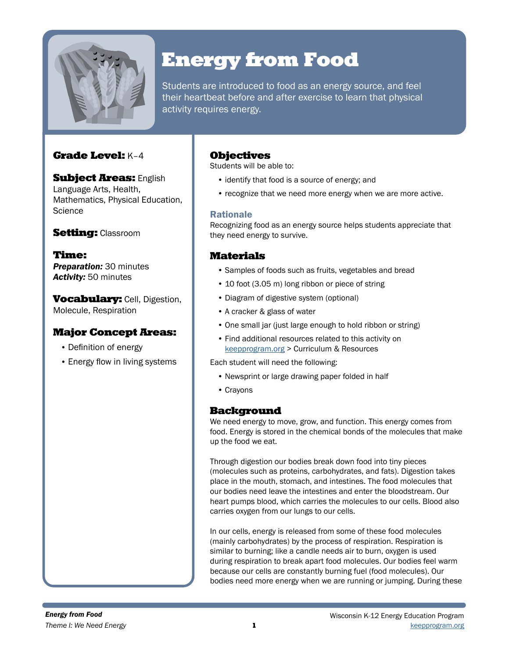

# Energy from Food

Students are introduced to food as an energy source, and feel their heartbeat before and after exercise to learn that physical activity requires energy.

# Grade Level: K–4

**Subject Areas: English** Language Arts, Health, Mathematics, Physical Education, **Science** 

# **Setting: Classroom**

Time: *Preparation:* 30 minutes *Activity:* 50 minutes

**Vocabulary:** Cell, Digestion, Molecule, Respiration

## Major Concept Areas:

- Definition of energy
- Energy flow in living systems

## **Objectives**

Students will be able to:

- identify that food is a source of energy; and
- recognize that we need more energy when we are more active.

### Rationale

Recognizing food as an energy source helps students appreciate that they need energy to survive.

## Materials

- Samples of foods such as fruits, vegetables and bread
- 10 foot (3.05 m) long ribbon or piece of string
- Diagram of digestive system (optional)
- A cracker & glass of water
- One small jar (just large enough to hold ribbon or string)
- Find additional resources related to this activity on [keepprogram.org](http://keepprogram.org) > Curriculum & Resources

Each student will need the following:

- Newsprint or large drawing paper folded in half
- Crayons

## Background

We need energy to move, grow, and function. This energy comes from food. Energy is stored in the chemical bonds of the molecules that make up the food we eat.

Through digestion our bodies break down food into tiny pieces (molecules such as proteins, carbohydrates, and fats). Digestion takes place in the mouth, stomach, and intestines. The food molecules that our bodies need leave the intestines and enter the bloodstream. Our heart pumps blood, which carries the molecules to our cells. Blood also carries oxygen from our lungs to our cells.

In our cells, energy is released from some of these food molecules (mainly carbohydrates) by the process of respiration. Respiration is similar to burning; like a candle needs air to burn, oxygen is used during respiration to break apart food molecules. Our bodies feel warm because our cells are constantly burning fuel (food molecules). Our bodies need more energy when we are running or jumping. During these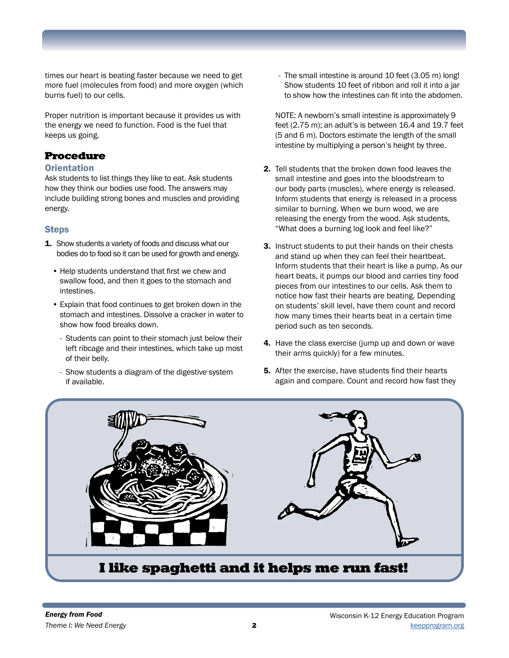times our heart is beating faster because we need to get more fuel (molecules from food) and more oxygen (which burns fuel) to our cells.

Proper nutrition is important because it provides us with the energy we need to function. Food is the fuel that keeps us going.

# Procedure

### **Orientation**

Ask students to list things they like to eat. Ask students how they think our bodies use food. The answers may include building strong bones and muscles and providing energy.

## Steps

- **1.** Show students a variety of foods and discuss what our bodies do to food so it can be used for growth and energy.
	- Help students understand that first we chew and swallow food, and then it goes to the stomach and intestines.
	- Explain that food continues to get broken down in the stomach and intestines. Dissolve a cracker in water to show how food breaks down.
		- Students can point to their stomach just below their left ribcage and their intestines, which take up most of their belly.
		- Show students a diagram of the digestive system if available.

- The small intestine is around 10 feet (3.05 m) long! Show students 10 feet of ribbon and roll it into a jar to show how the intestines can fit into the abdomen.

NOTE: A newborn's small intestine is approximately 9 feet (2.75 m); an adult's is between 16.4 and 19.7 feet (5 and 6 m). Doctors estimate the length of the small intestine by multiplying a person's height by three.

- 2. Tell students that the broken down food leaves the small intestine and goes into the bloodstream to our body parts (muscles), where energy is released. Inform students that energy is released in a process similar to burning. When we burn wood, we are releasing the energy from the wood. Ask students, "What does a burning log look and feel like?"
- **3.** Instruct students to put their hands on their chests and stand up when they can feel their heartbeat. Inform students that their heart is like a pump. As our heart beats, it pumps our blood and carries tiny food pieces from our intestines to our cells. Ask them to notice how fast their hearts are beating. Depending on students' skill level, have them count and record how many times their hearts beat in a certain time period such as ten seconds.
- 4. Have the class exercise (jump up and down or wave their arms quickly) for a few minutes.
- 5. After the exercise, have students find their hearts again and compare. Count and record how fast they